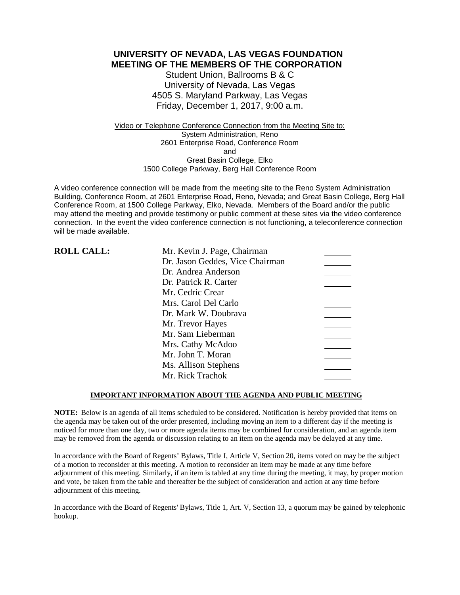**UNIVERSITY OF NEVADA, LAS VEGAS FOUNDATION MEETING OF THE MEMBERS OF THE CORPORATION**

> Student Union, Ballrooms B & C University of Nevada, Las Vegas 4505 S. Maryland Parkway, Las Vegas Friday, December 1, 2017, 9:00 a.m.

Video or Telephone Conference Connection from the Meeting Site to: System Administration, Reno 2601 Enterprise Road, Conference Room and Great Basin College, Elko 1500 College Parkway, Berg Hall Conference Room

A video conference connection will be made from the meeting site to the Reno System Administration Building, Conference Room, at 2601 Enterprise Road, Reno, Nevada; and Great Basin College, Berg Hall Conference Room, at 1500 College Parkway, Elko, Nevada. Members of the Board and/or the public may attend the meeting and provide testimony or public comment at these sites via the video conference connection. In the event the video conference connection is not functioning, a teleconference connection will be made available.

| <b>ROLL CALL:</b> | Mr. Kevin J. Page, Chairman     |
|-------------------|---------------------------------|
|                   | Dr. Jason Geddes, Vice Chairman |
|                   | Dr. Andrea Anderson             |
|                   | Dr. Patrick R. Carter           |
|                   | Mr. Cedric Crear                |
|                   | Mrs. Carol Del Carlo            |
|                   | Dr. Mark W. Doubrava            |
|                   | Mr. Trevor Hayes                |
|                   | Mr. Sam Lieberman               |
|                   | Mrs. Cathy McAdoo               |
|                   | Mr. John T. Moran               |
|                   | Ms. Allison Stephens            |
|                   | Mr. Rick Trachok                |

### **IMPORTANT INFORMATION ABOUT THE AGENDA AND PUBLIC MEETING**

**NOTE:** Below is an agenda of all items scheduled to be considered. Notification is hereby provided that items on the agenda may be taken out of the order presented, including moving an item to a different day if the meeting is noticed for more than one day, two or more agenda items may be combined for consideration, and an agenda item may be removed from the agenda or discussion relating to an item on the agenda may be delayed at any time.

In accordance with the Board of Regents' Bylaws, Title I, Article V, Section 20, items voted on may be the subject of a motion to reconsider at this meeting. A motion to reconsider an item may be made at any time before adjournment of this meeting. Similarly, if an item is tabled at any time during the meeting, it may, by proper motion and vote, be taken from the table and thereafter be the subject of consideration and action at any time before adjournment of this meeting.

In accordance with the Board of Regents' Bylaws, Title 1, Art. V, Section 13, a quorum may be gained by telephonic hookup.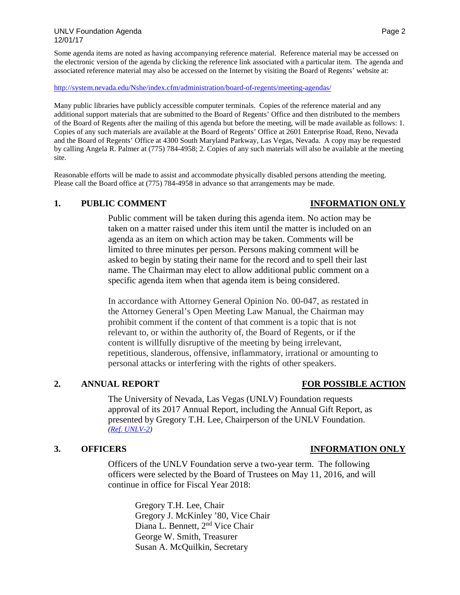Some agenda items are noted as having accompanying reference material. Reference material may be accessed on the electronic version of the agenda by clicking the reference link associated with a particular item. The agenda and associated reference material may also be accessed on the Internet by visiting the Board of Regents' website at:

### <http://system.nevada.edu/Nshe/index.cfm/administration/board-of-regents/meeting-agendas/>

Many public libraries have publicly accessible computer terminals. Copies of the reference material and any additional support materials that are submitted to the Board of Regents' Office and then distributed to the members of the Board of Regents after the mailing of this agenda but before the meeting, will be made available as follows: 1. Copies of any such materials are available at the Board of Regents' Office at 2601 Enterprise Road, Reno, Nevada and the Board of Regents' Office at 4300 South Maryland Parkway, Las Vegas, Nevada. A copy may be requested by calling Angela R. Palmer at (775) 784-4958; 2. Copies of any such materials will also be available at the meeting site.

Reasonable efforts will be made to assist and accommodate physically disabled persons attending the meeting. Please call the Board office at (775) 784-4958 in advance so that arrangements may be made.

### **1. PUBLIC COMMENT INFORMATION ONLY**

# Public comment will be taken during this agenda item. No action may be taken on a matter raised under this item until the matter is included on an agenda as an item on which action may be taken. Comments will be limited to three minutes per person. Persons making comment will be asked to begin by stating their name for the record and to spell their last name. The Chairman may elect to allow additional public comment on a specific agenda item when that agenda item is being considered.

In accordance with Attorney General Opinion No. 00-047, as restated in the Attorney General's Open Meeting Law Manual, the Chairman may prohibit comment if the content of that comment is a topic that is not relevant to, or within the authority of, the Board of Regents, or if the content is willfully disruptive of the meeting by being irrelevant, repetitious, slanderous, offensive, inflammatory, irrational or amounting to personal attacks or interfering with the rights of other speakers.

# **2. ANNUAL REPORT FOR POSSIBLE ACTION**

The University of Nevada, Las Vegas (UNLV) Foundation requests approval of its 2017 Annual Report, including the Annual Gift Report, as presented by Gregory T.H. Lee, Chairperson of the UNLV Foundation. *[\(Ref. UNLV-2\)](https://nshe.nevada.edu/wp-content/uploads/file/BoardOfRegents/Agendas/2017/nov-mtgs/foundation-refs/unlv/UNLV-2.pdf)*

Officers of the UNLV Foundation serve a two-year term. The following officers were selected by the Board of Trustees on May 11, 2016, and will continue in office for Fiscal Year 2018:

> Gregory T.H. Lee, Chair Gregory J. McKinley '80, Vice Chair Diana L. Bennett, 2nd Vice Chair George W. Smith, Treasurer Susan A. McQuilkin, Secretary

# **3. OFFICERS INFORMATION ONLY**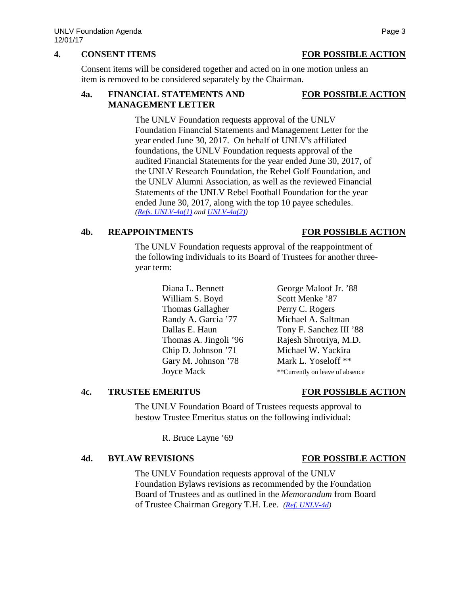## **4. CONSENT ITEMS FOR POSSIBLE ACTION**

Consent items will be considered together and acted on in one motion unless an item is removed to be considered separately by the Chairman.

### **4a. FINANCIAL STATEMENTS AND FOR POSSIBLE ACTION MANAGEMENT LETTER**

The UNLV Foundation requests approval of the UNLV Foundation Financial Statements and Management Letter for the year ended June 30, 2017. On behalf of UNLV's affiliated foundations, the UNLV Foundation requests approval of the audited Financial Statements for the year ended June 30, 2017, of the UNLV Research Foundation, the Rebel Golf Foundation, and the UNLV Alumni Association, as well as the reviewed Financial Statements of the UNLV Rebel Football Foundation for the year ended June 30, 2017, along with the top 10 payee schedules. *[\(Refs. UNLV-4a\(1\)](https://nshe.nevada.edu/wp-content/uploads/file/BoardOfRegents/Agendas/2017/nov-mtgs/foundation-refs/unlv/UNLV-4a(1).pdf) and [UNLV-4a\(2\)\)](https://nshe.nevada.edu/wp-content/uploads/file/BoardOfRegents/Agendas/2017/nov-mtgs/foundation-refs/unlv/UNLV-4a(2).pdf)*

## **4b. REAPPOINTMENTS FOR POSSIBLE ACTION**

The UNLV Foundation requests approval of the reappointment of the following individuals to its Board of Trustees for another threeyear term:

| Diana L. Bennett        | George Maloof Jr. '88           |
|-------------------------|---------------------------------|
| William S. Boyd         | Scott Menke '87                 |
| <b>Thomas Gallagher</b> | Perry C. Rogers                 |
| Randy A. Garcia '77     | Michael A. Saltman              |
| Dallas E. Haun          | Tony F. Sanchez III '88         |
| Thomas A. Jingoli '96   | Rajesh Shrotriya, M.D.          |
| Chip D. Johnson '71     | Michael W. Yackira              |
| Gary M. Johnson '78     | Mark L. Yoseloff **             |
| <b>Joyce Mack</b>       | **Currently on leave of absence |
|                         |                                 |

## **4c. TRUSTEE EMERITUS FOR POSSIBLE ACTION**

The UNLV Foundation Board of Trustees requests approval to bestow Trustee Emeritus status on the following individual:

R. Bruce Layne '69

## **4d. BYLAW REVISIONS FOR POSSIBLE ACTION**

The UNLV Foundation requests approval of the UNLV Foundation Bylaws revisions as recommended by the Foundation Board of Trustees and as outlined in the *Memorandum* from Board of Trustee Chairman Gregory T.H. Lee. *[\(Ref. UNLV-4d\)](https://nshe.nevada.edu/wp-content/uploads/file/BoardOfRegents/Agendas/2017/nov-mtgs/foundation-refs/unlv/UNLV-4d.pdf)*